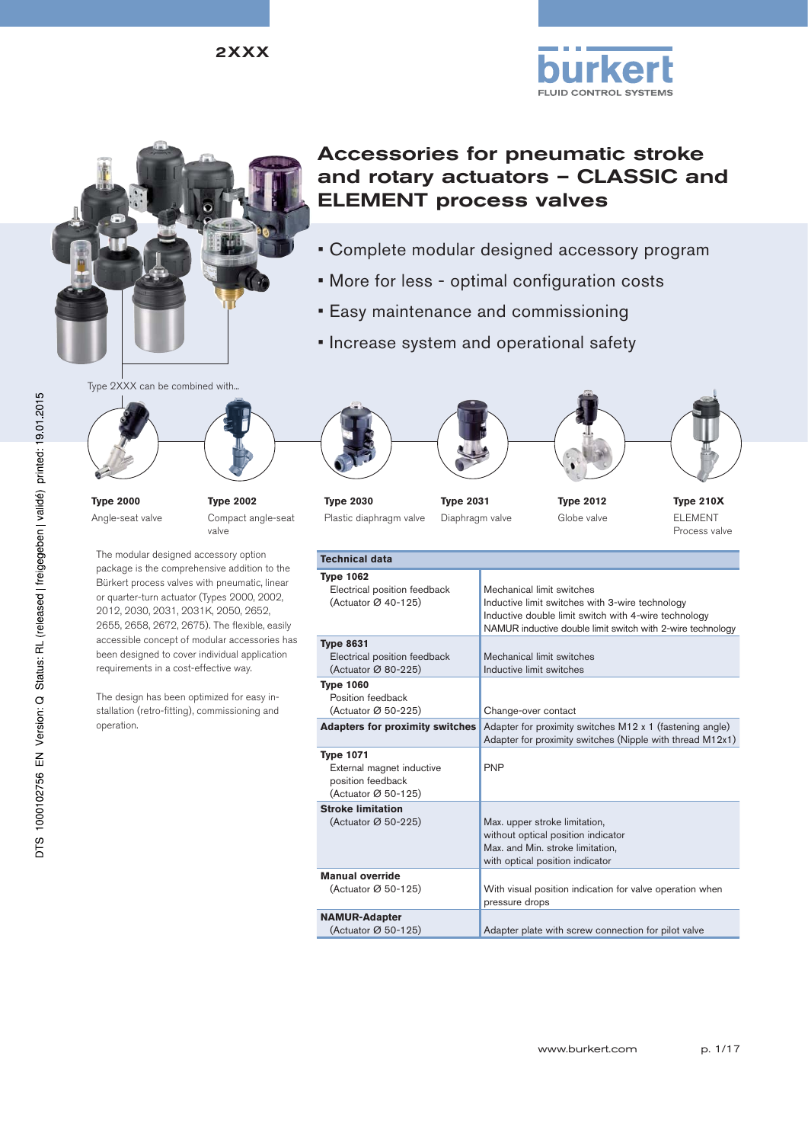

# Accessories for pneumatic stroke and rotary actuators – CLASSIC and ELEMENT process valves

- Complete modular designed accessory program
- More for less optimal configuration costs
- Easy maintenance and commissioning
- Increase system and operational safety





**Type 2000** Angle-seat valve **Type 2002**  Compact angle-seat valve

The modular designed accessory option package is the comprehensive addition to the Bürkert process valves with pneumatic, linear or quarter-turn actuator (Types 2000, 2002, 2012, 2030, 2031, 2031K, 2050, 2652, 2655, 2658, 2672, 2675). The flexible, easily accessible concept of modular accessories has been designed to cover individual application requirements in a cost-effective way.

The design has been optimized for easy installation (retro-fitting), commissioning and operation.











FLUID CONTROL SYSTEMS



**Type 2030** Plastic diaphragm valve

**Type 2031** Diaphragm valve

**Type 2012** Globe valve

**Type 210X** ELEMENT Process valve

| <b>Technical data</b>                                                                                 |                                                                                                                                                                                                    |
|-------------------------------------------------------------------------------------------------------|----------------------------------------------------------------------------------------------------------------------------------------------------------------------------------------------------|
| <b>Type 1062</b><br>Electrical position feedback<br>(Actuator $\varnothing$ 40-125)                   | Mechanical limit switches<br>Inductive limit switches with 3-wire technology<br>Inductive double limit switch with 4-wire technology<br>NAMUR inductive double limit switch with 2-wire technology |
| <b>Type 8631</b><br>Electrical position feedback<br>(Actuator Ø 80-225)                               | Mechanical limit switches<br>Inductive limit switches                                                                                                                                              |
| <b>Type 1060</b><br>Position feedback<br>(Actuator Ø 50-225)                                          | Change-over contact                                                                                                                                                                                |
| <b>Adapters for proximity switches</b>                                                                | Adapter for proximity switches M12 x 1 (fastening angle)<br>Adapter for proximity switches (Nipple with thread M12x1)                                                                              |
| <b>Type 1071</b><br>External magnet inductive<br>position feedback<br>(Actuator $\varnothing$ 50-125) | <b>PNP</b>                                                                                                                                                                                         |
| <b>Stroke limitation</b><br>(Actuator Ø 50-225)                                                       | Max. upper stroke limitation,<br>without optical position indicator<br>Max. and Min. stroke limitation,<br>with optical position indicator                                                         |
| <b>Manual override</b><br>(Actuator Ø 50-125)                                                         | With visual position indication for valve operation when<br>pressure drops                                                                                                                         |
| <b>NAMUR-Adapter</b><br>(Actuator Ø 50-125)                                                           | Adapter plate with screw connection for pilot valve                                                                                                                                                |
|                                                                                                       |                                                                                                                                                                                                    |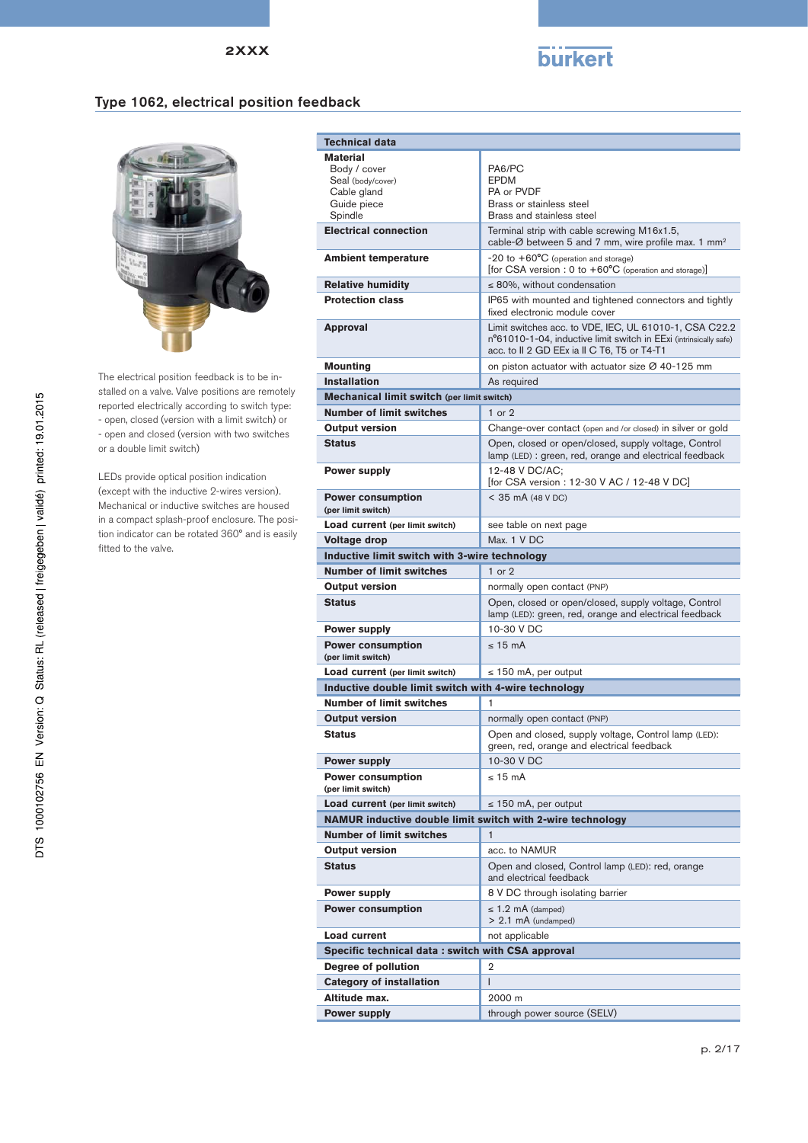

#### Type 1062, electrical position feedback



The electrical position feedback is to be installed on a valve. Valve positions are remotely reported electrically according to switch type: - open, closed (version with a limit switch) or - open and closed (version with two switches or a double limit switch)

LEDs provide optical position indication (except with the inductive 2-wires version). Mechanical or inductive switches are housed in a compact splash-proof enclosure. The position indicator can be rotated 360° and is easily fitted to the valve.

| <b>Technical data</b>                                      |                                                                                                                                                                            |
|------------------------------------------------------------|----------------------------------------------------------------------------------------------------------------------------------------------------------------------------|
| <b>Material</b>                                            |                                                                                                                                                                            |
| Body / cover                                               | PA6/PC<br>EPDM                                                                                                                                                             |
| Seal (body/cover)<br>Cable gland                           | PA or PVDF                                                                                                                                                                 |
| Guide piece                                                | Brass or stainless steel                                                                                                                                                   |
| Spindle                                                    | Brass and stainless steel                                                                                                                                                  |
| <b>Electrical connection</b>                               | Terminal strip with cable screwing M16x1.5,<br>cable-Ø between 5 and 7 mm, wire profile max. 1 mm <sup>2</sup>                                                             |
| <b>Ambient temperature</b>                                 | $-20$ to $+60^{\circ}$ C (operation and storage)<br>[for CSA version : 0 to +60°C (operation and storage)]                                                                 |
| <b>Relative humidity</b>                                   | $\leq$ 80%, without condensation                                                                                                                                           |
| <b>Protection class</b>                                    | IP65 with mounted and tightened connectors and tightly<br>fixed electronic module cover                                                                                    |
| <b>Approval</b>                                            | Limit switches acc. to VDE, IEC, UL 61010-1, CSA C22.2<br>n°61010-1-04, inductive limit switch in EExi (intrinsically safe)<br>acc. to II 2 GD EEx ia II C T6, T5 or T4-T1 |
| <b>Mounting</b>                                            | on piston actuator with actuator size $\varnothing$ 40-125 mm                                                                                                              |
| <b>Installation</b>                                        | As required                                                                                                                                                                |
| Mechanical limit switch (per limit switch)                 |                                                                                                                                                                            |
| <b>Number of limit switches</b>                            | $1$ or $2$                                                                                                                                                                 |
| <b>Output version</b>                                      | Change-over contact (open and /or closed) in silver or gold                                                                                                                |
| <b>Status</b>                                              | Open, closed or open/closed, supply voltage, Control<br>lamp (LED) : green, red, orange and electrical feedback                                                            |
| <b>Power supply</b>                                        | 12-48 V DC/AC:<br>[for CSA version : 12-30 V AC / 12-48 V DC]                                                                                                              |
| <b>Power consumption</b><br>(per limit switch)             | $<$ 35 mA (48 V DC)                                                                                                                                                        |
| Load current (per limit switch)                            | see table on next page                                                                                                                                                     |
| Voltage drop                                               | Max. 1 V DC                                                                                                                                                                |
| Inductive limit switch with 3-wire technology              |                                                                                                                                                                            |
| <b>Number of limit switches</b>                            | $1$ or $2$                                                                                                                                                                 |
| <b>Output version</b>                                      | normally open contact (PNP)                                                                                                                                                |
| <b>Status</b>                                              | Open, closed or open/closed, supply voltage, Control<br>lamp (LED): green, red, orange and electrical feedback                                                             |
| <b>Power supply</b>                                        | 10-30 V DC                                                                                                                                                                 |
| <b>Power consumption</b><br>(per limit switch)             | $< 15 \text{ mA}$                                                                                                                                                          |
| Load current (per limit switch)                            | $\leq$ 150 mA, per output                                                                                                                                                  |
| Inductive double limit switch with 4-wire technology       |                                                                                                                                                                            |
| <b>Number of limit switches</b>                            | 1                                                                                                                                                                          |
| <b>Output version</b>                                      | normally open contact (PNP)                                                                                                                                                |
| <b>Status</b>                                              | Open and closed, supply voltage, Control lamp (LED):<br>green, red, orange and electrical feedback                                                                         |
| <b>Power supply</b>                                        | 10-30 V DC                                                                                                                                                                 |
| <b>Power consumption</b><br>(per limit switch)             | $< 15 \text{ mA}$                                                                                                                                                          |
| Load current (per limit switch)                            | $\leq$ 150 mA, per output                                                                                                                                                  |
| NAMUR inductive double limit switch with 2-wire technology |                                                                                                                                                                            |
| <b>Number of limit switches</b>                            | $\mathbf{1}$                                                                                                                                                               |
| <b>Output version</b>                                      | acc. to NAMUR                                                                                                                                                              |
| <b>Status</b>                                              | Open and closed, Control lamp (LED): red, orange<br>and electrical feedback                                                                                                |
| <b>Power supply</b>                                        | 8 V DC through isolating barrier                                                                                                                                           |
| <b>Power consumption</b>                                   | $\leq$ 1.2 mA (damped)<br>$> 2.1$ mA (undamped)                                                                                                                            |
| Load current                                               | not applicable                                                                                                                                                             |
| Specific technical data: switch with CSA approval          |                                                                                                                                                                            |
| Degree of pollution                                        | $\overline{2}$                                                                                                                                                             |
| <b>Category of installation</b>                            | $\mathsf{I}$                                                                                                                                                               |
| Altitude max.                                              | 2000 m                                                                                                                                                                     |
| <b>Power supply</b>                                        | through power source (SELV)                                                                                                                                                |
|                                                            |                                                                                                                                                                            |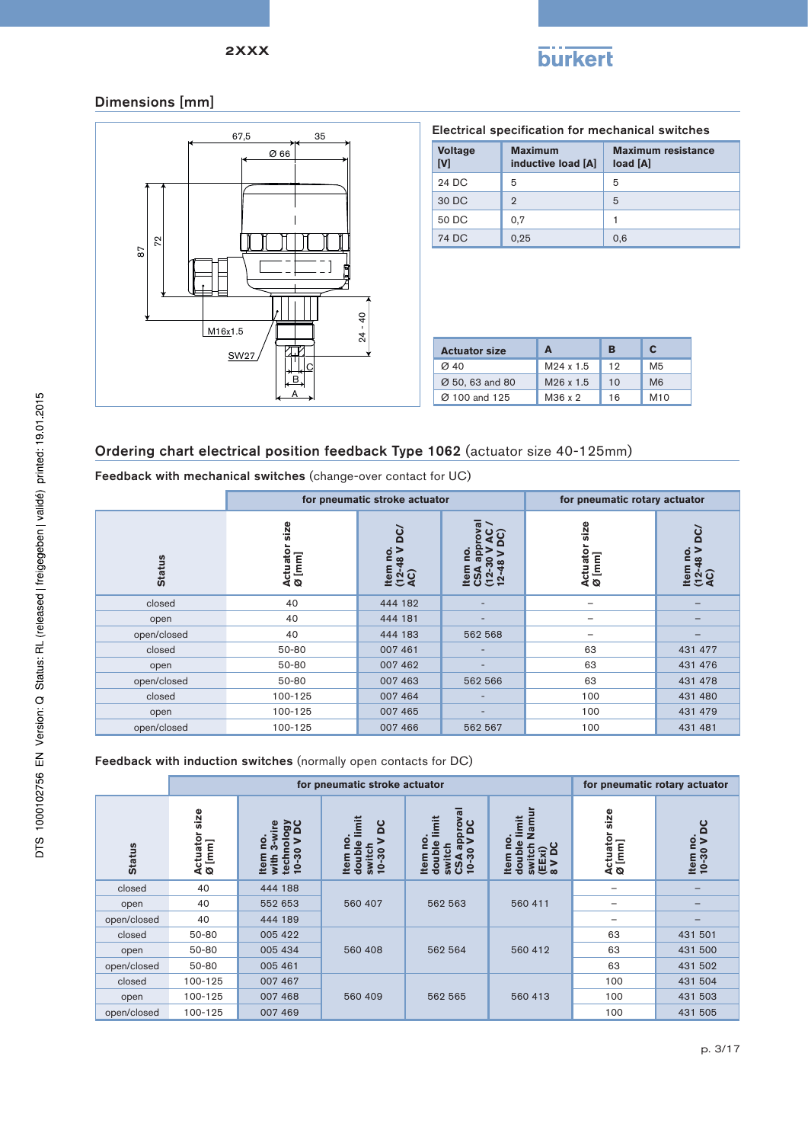

# Dimensions [mm]



| Electrical specification for mechanical switches |                                      |                                       |  |  |  |  |  |  |  |
|--------------------------------------------------|--------------------------------------|---------------------------------------|--|--|--|--|--|--|--|
| <b>Voltage</b><br><b>IVI</b>                     | <b>Maximum</b><br>inductive load [A] | <b>Maximum resistance</b><br>load [A] |  |  |  |  |  |  |  |
| 24 DC                                            | 5                                    | 5                                     |  |  |  |  |  |  |  |
| 30 DC                                            | 2                                    | 5                                     |  |  |  |  |  |  |  |
| 50 DC                                            | 0.7                                  |                                       |  |  |  |  |  |  |  |
| 74 DC                                            | 0,25                                 | 0.6                                   |  |  |  |  |  |  |  |

| <b>Actuator size</b> | А                     | в  | C              |
|----------------------|-----------------------|----|----------------|
| $\alpha$ 40          | M24 x 1.5             | 12 | M5             |
| Ø 50, 63 and 80      | M <sub>26</sub> x 1.5 | 10 | M <sub>6</sub> |
| Ø 100 and 125        | M36 x 2               | 16 | M10            |

# Ordering chart electrical position feedback Type 1062 (actuator size 40-125mm)

Feedback with mechanical switches (change-over contact for UC)

|               |                            | for pneumatic stroke actuator                                                                 | for pneumatic rotary actuator |                                               |         |  |                                                     |
|---------------|----------------------------|-----------------------------------------------------------------------------------------------|-------------------------------|-----------------------------------------------|---------|--|-----------------------------------------------------|
| <b>Status</b> | size<br>Actuator<br>Ø [mm] | ပ္က<br>$\dot{\circ}$<br>ltem n<br>(12-48<br>AC)<br>នី<br>ltem<br>$\frac{2}{1}$<br>$\mathbf C$ |                               | size<br>ပ္စစ္<br>Actuator<br>Ø [mm]<br>∞<br>으 |         |  | <b>DC</b><br>$rac{1}{2}$<br>ltem n<br>(12-48<br>AC) |
| closed        | 40                         | 444 182                                                                                       |                               | -                                             |         |  |                                                     |
| open          | 40                         | 444 181                                                                                       |                               | -                                             |         |  |                                                     |
| open/closed   | 40                         | 444 183                                                                                       | 562 568                       | -                                             |         |  |                                                     |
| closed        | 50-80                      | 007 461                                                                                       |                               | 63                                            | 431 477 |  |                                                     |
| open          | 50-80                      | 007 462                                                                                       | $\overline{\phantom{0}}$      | 63                                            | 431 476 |  |                                                     |
| open/closed   | 50-80                      | 007 463                                                                                       | 562 566                       | 63                                            | 431 478 |  |                                                     |
| closed        | 100-125                    | 007 464                                                                                       |                               | 100                                           | 431 480 |  |                                                     |
| open          | 100-125                    | 007 465                                                                                       | $\overline{\phantom{0}}$      | 100                                           | 431 479 |  |                                                     |
| open/closed   | 100-125                    | 007 466                                                                                       | 562 567                       | 100                                           | 431 481 |  |                                                     |

#### Feedback with induction switches (normally open contacts for DC)

|               |                                   | for pneumatic stroke actuator                                                            |                                                                      |                                                                                                           | for pneumatic rotary actuator                                                                             |                            |                        |    |         |
|---------------|-----------------------------------|------------------------------------------------------------------------------------------|----------------------------------------------------------------------|-----------------------------------------------------------------------------------------------------------|-----------------------------------------------------------------------------------------------------------|----------------------------|------------------------|----|---------|
| <b>Status</b> | size<br>Actuator<br>$\omega$ [mm] | <b>Jan A</b><br>3-wire<br>g<br>$\mathbf{C}$<br>$10 - 30$<br><b>Item</b><br>techi<br>with | imit<br>DC<br>ဠ<br>><br>double<br>switch<br>$10 - 30$<br><b>Item</b> | proval<br>DC<br>mit<br>ᅙ<br>Φ<br>$\sigma$<br>30<br>switcl<br>doub<br><b>Item</b><br>⊲<br>$10 -$<br>S<br>ပ | Namur<br>imit<br>o<br>ă<br>$\widehat{\mathsf{Ex}}$ i)<br>switc<br>doub<br>튭<br>$\overline{ }$<br>$\infty$ | size<br>Actuator<br>Ø [mm] | Item no.<br>10-30 V DC |    |         |
| closed        | 40                                | 444 188                                                                                  |                                                                      |                                                                                                           |                                                                                                           | -                          |                        |    |         |
| open          | 40                                | 552 653                                                                                  | 560 407                                                              | 562 563                                                                                                   | 560 411                                                                                                   |                            |                        |    |         |
| open/closed   | 40                                | 444 189                                                                                  |                                                                      |                                                                                                           |                                                                                                           | -                          |                        |    |         |
| closed        | 50-80                             | 005 422                                                                                  |                                                                      |                                                                                                           |                                                                                                           | 63                         | 431 501                |    |         |
| open          | 50-80                             | 005 434                                                                                  | 560 408                                                              |                                                                                                           |                                                                                                           | 562 564                    | 560 412                | 63 | 431 500 |
| open/closed   | 50-80                             | 005 461                                                                                  |                                                                      |                                                                                                           |                                                                                                           | 63                         | 431 502                |    |         |
| closed        | 100-125                           | 007 467                                                                                  |                                                                      |                                                                                                           |                                                                                                           | 100                        | 431 504                |    |         |
| open          | 100-125                           | 007 468                                                                                  | 560 409                                                              | 562 565                                                                                                   | 560 413                                                                                                   | 100                        | 431 503                |    |         |
| open/closed   | 100-125                           | 007 469                                                                                  |                                                                      |                                                                                                           |                                                                                                           | 100                        | 431 505                |    |         |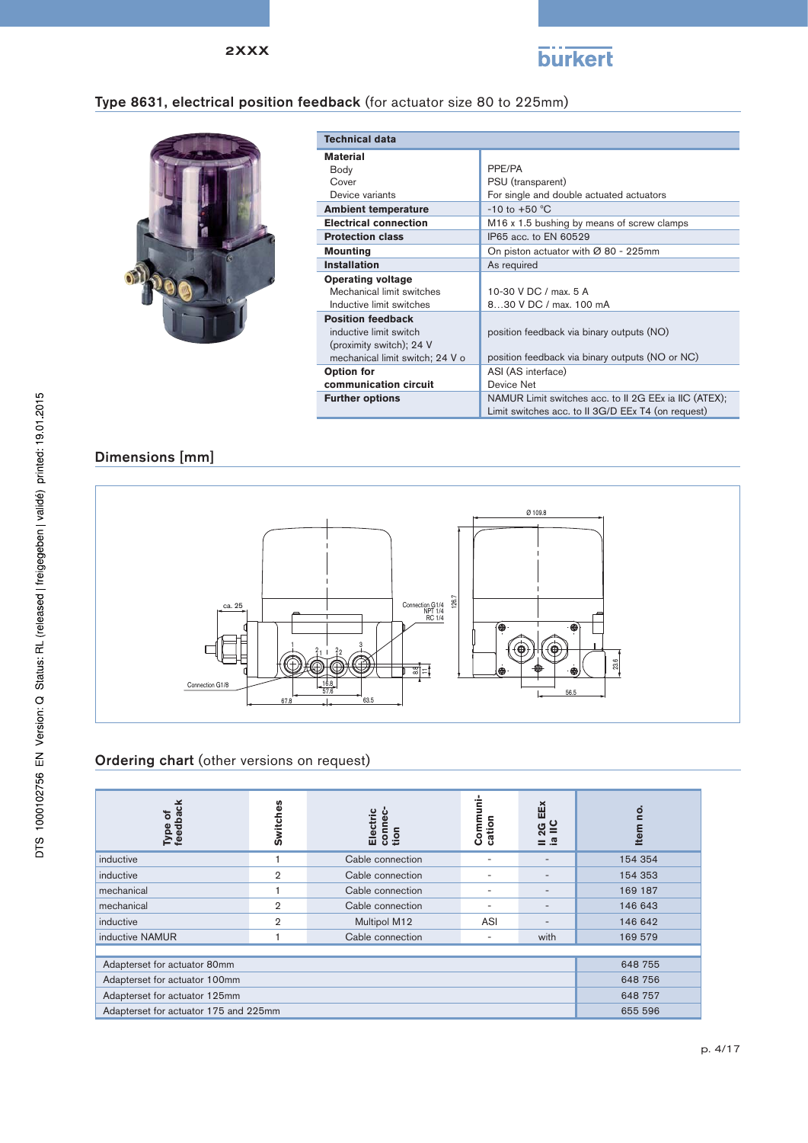

# Type 8631, electrical position feedback (for actuator size 80 to 225mm)



| <b>Technical data</b>           |                                                        |
|---------------------------------|--------------------------------------------------------|
| <b>Material</b>                 |                                                        |
| Body                            | PPF/PA                                                 |
| Cover                           | PSU (transparent)                                      |
| Device variants                 | For single and double actuated actuators               |
| <b>Ambient temperature</b>      | $-10$ to $+50$ °C                                      |
| <b>Electrical connection</b>    | M <sub>16</sub> x 1.5 bushing by means of screw clamps |
| <b>Protection class</b>         | IP65 acc. to EN 60529                                  |
| <b>Mounting</b>                 | On piston actuator with $\varnothing$ 80 - 225mm       |
| <b>Installation</b>             | As required                                            |
| <b>Operating voltage</b>        |                                                        |
| Mechanical limit switches       | 10-30 V DC / max. 5 A                                  |
| Inductive limit switches        | 830 V DC / max. 100 mA                                 |
| <b>Position feedback</b>        |                                                        |
| inductive limit switch          | position feedback via binary outputs (NO)              |
| (proximity switch); 24 V        |                                                        |
| mechanical limit switch; 24 V o | position feedback via binary outputs (NO or NC)        |
| Option for                      | ASI (AS interface)                                     |
| communication circuit           | Device Net                                             |
| <b>Further options</b>          | NAMUR Limit switches acc. to II 2G EEx ia IIC (ATEX);  |
|                                 | Limit switches acc. to II 3G/D EEx T4 (on request)     |

# Dimensions [mm]



# Ordering chart (other versions on request)

| Type of<br>feedback<br>$\overline{\mathbf{o}}$ | <b>Switches</b> | connec-<br>tion<br>Electric | Communi-<br>cation | EEX<br>æ | <u>o</u><br>Item |  |  |  |  |
|------------------------------------------------|-----------------|-----------------------------|--------------------|----------|------------------|--|--|--|--|
| inductive                                      |                 | Cable connection            | ٠                  |          | 154 354          |  |  |  |  |
| inductive                                      | $\overline{2}$  | Cable connection            | ۰                  | -        | 154 353          |  |  |  |  |
| mechanical                                     |                 | Cable connection            | -                  |          | 169 187          |  |  |  |  |
| mechanical                                     | $\overline{2}$  | Cable connection            | -                  | -        | 146 643          |  |  |  |  |
| inductive                                      | $\overline{2}$  | Multipol M12                | ASI                |          | 146 642          |  |  |  |  |
| inductive NAMUR                                |                 | Cable connection            | -                  | with     | 169 579          |  |  |  |  |
|                                                |                 |                             |                    |          |                  |  |  |  |  |
| Adapterset for actuator 80mm                   |                 |                             |                    |          | 648 755          |  |  |  |  |
| Adapterset for actuator 100mm                  | 648 756         |                             |                    |          |                  |  |  |  |  |
| Adapterset for actuator 125mm                  | 648 757         |                             |                    |          |                  |  |  |  |  |
| Adapterset for actuator 175 and 225mm          |                 |                             |                    |          | 655 596          |  |  |  |  |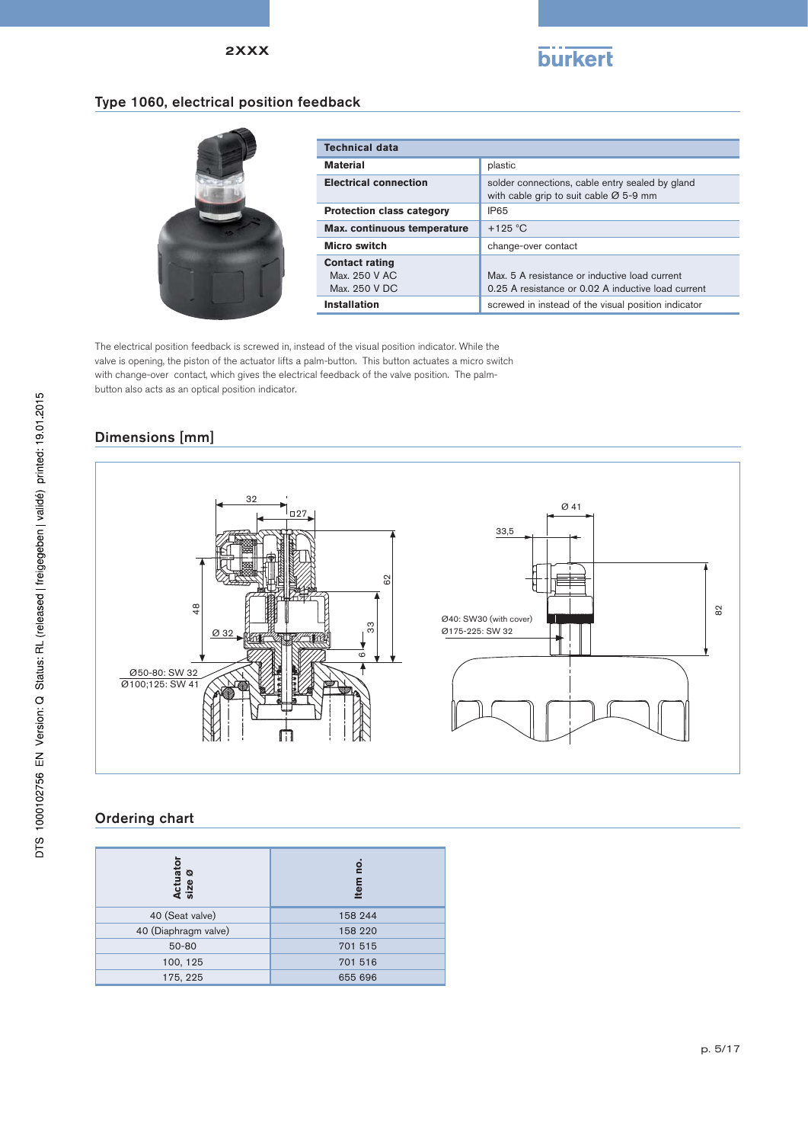

# Type 1060, electrical position feedback



| <b>Technical data</b>                                   |                                                                                                     |  |  |  |  |
|---------------------------------------------------------|-----------------------------------------------------------------------------------------------------|--|--|--|--|
| <b>Material</b>                                         | plastic                                                                                             |  |  |  |  |
| <b>Electrical connection</b>                            | solder connections, cable entry sealed by gland<br>with cable grip to suit cable $Ø$ 5-9 mm         |  |  |  |  |
| <b>Protection class category</b>                        | IP65                                                                                                |  |  |  |  |
| Max. continuous temperature                             | $+125$ °C                                                                                           |  |  |  |  |
| <b>Micro switch</b>                                     | change-over contact                                                                                 |  |  |  |  |
| <b>Contact rating</b><br>Max. 250 V AC<br>Max. 250 V DC | Max, 5 A resistance or inductive load current<br>0.25 A resistance or 0.02 A inductive load current |  |  |  |  |
| Installation                                            | screwed in instead of the visual position indicator                                                 |  |  |  |  |

The electrical position feedback is screwed in, instead of the visual position indicator. While the valve is opening, the piston of the actuator lifts a palm-button. This button actuates a micro switch with change-over contact, which gives the electrical feedback of the valve position. The palmbutton also acts as an optical position indicator.

# Dimensions [mm]



# Ordering chart

| Actuator<br>size ø   | ġ<br>Item |
|----------------------|-----------|
| 40 (Seat valve)      | 158 244   |
| 40 (Diaphragm valve) | 158 220   |
| 50-80                | 701 515   |
| 100, 125             | 701 516   |
| 175, 225             | 655 696   |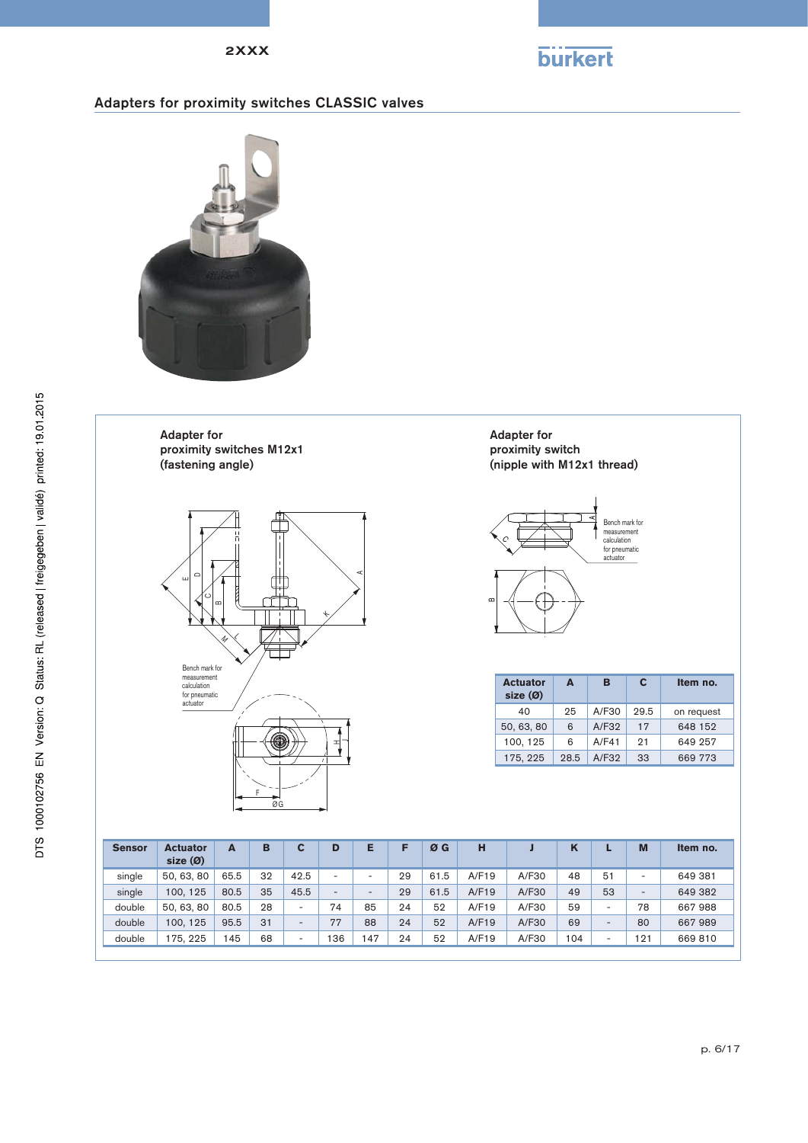

# Adapters for proximity switches CLASSIC valves



Adapter for proximity switches M12x1 (fastening angle)



Adapter for proximity switch (nipple with M12x1 thread)



| <b>Actuator</b><br>size(0) | Δ    | в     | C    | Item no.   |
|----------------------------|------|-------|------|------------|
| 40                         | 25   | A/F30 | 29.5 | on request |
| 50, 63, 80                 | 6    | A/F32 | 17   | 648 152    |
| 100, 125                   | 6    | A/F41 | 21   | 649 257    |
| 175, 225                   | 28.5 | A/F32 | 33   | 669 773    |

| <b>Sensor</b> | <b>Actuator</b><br>size(0) | A    | в  |      | D                        | Ε  |    | ØG   | н     |       | 'N  |    | M   | Item no. |
|---------------|----------------------------|------|----|------|--------------------------|----|----|------|-------|-------|-----|----|-----|----------|
| single        | 50, 63, 80                 | 65.5 | 32 | 42.5 | ۰                        | -  | 29 | 61.5 | A/F19 | A/F30 | 48  | 51 | -   | 649 381  |
| single        | 100.125                    | 80.5 | 35 | 45.5 | $\overline{\phantom{a}}$ | -  | 29 | 61.5 | A/F19 | A/F30 | 49  | 53 | -   | 649 382  |
| double        | 50, 63, 80                 | 80.5 | 28 | -    | 74                       | 85 | 24 | 52   | A/F19 | A/F30 | 59  |    | 78  | 667988   |
| double        | 100.125                    | 95.5 | 31 | -    | 77                       | 88 | 24 | 52   | A/F19 | A/F30 | 69  |    | 80  | 667989   |
| double        | 175.225                    | 145  | 68 | -    | 36                       | 47 | 24 | 52   | A/F19 | A/F30 | 104 |    | 121 | 669 810  |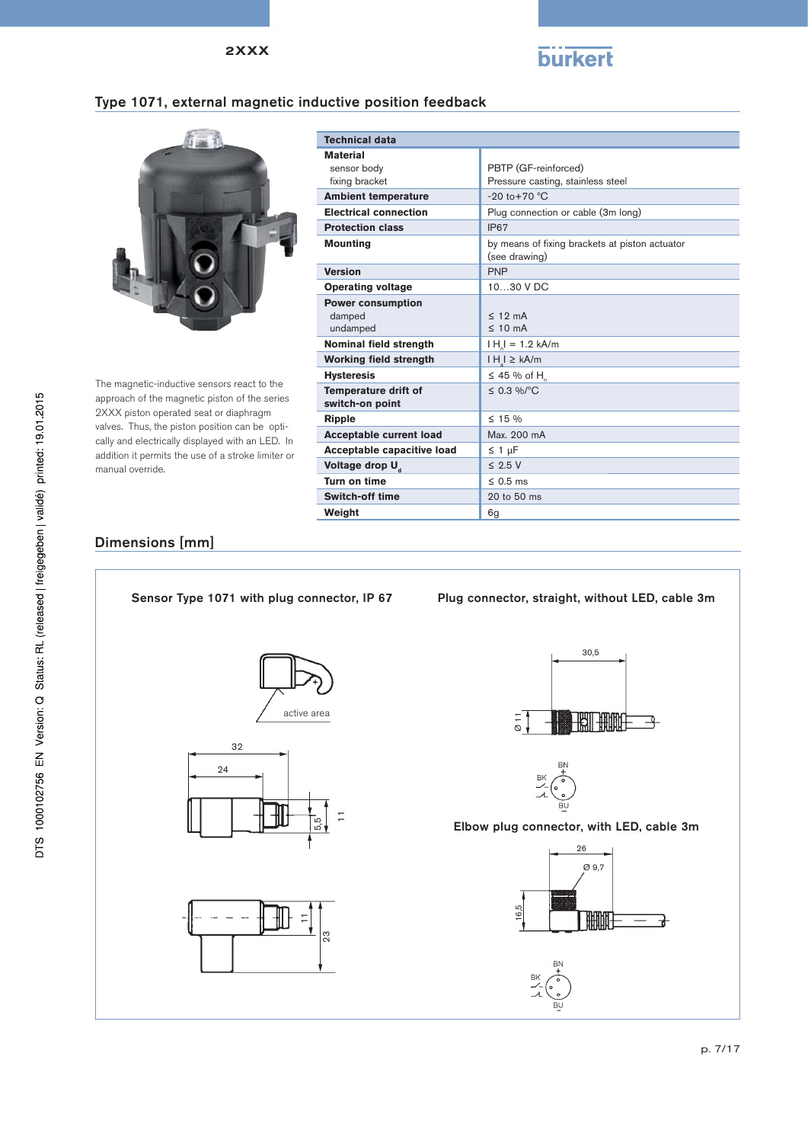

# Type 1071, external magnetic inductive position feedback



The magnetic-inductive sensors react to the approach of the magnetic piston of the series 2XXX piston operated seat or diaphragm valves. Thus, the piston position can be optically and electrically displayed with an LED. In addition it permits the use of a stroke limiter or manual override.

| <b>Technical data</b>                          |                                                                 |  |
|------------------------------------------------|-----------------------------------------------------------------|--|
| <b>Material</b>                                |                                                                 |  |
| sensor body                                    | PBTP (GF-reinforced)                                            |  |
| fixing bracket                                 | Pressure casting, stainless steel                               |  |
| <b>Ambient temperature</b>                     | $-20$ to $+70$ °C                                               |  |
| <b>Electrical connection</b>                   | Plug connection or cable (3m long)                              |  |
| <b>Protection class</b>                        | IP67                                                            |  |
| <b>Mounting</b>                                | by means of fixing brackets at piston actuator<br>(see drawing) |  |
| <b>Version</b>                                 | <b>PNP</b>                                                      |  |
| <b>Operating voltage</b>                       | 10 30 V DC                                                      |  |
| <b>Power consumption</b>                       |                                                                 |  |
| damped                                         | $< 19 \text{ mA}$                                               |  |
| undamped                                       | $\leq 10$ mA                                                    |  |
| Nominal field strength                         | $H_1 = 1.2$ kA/m                                                |  |
| <b>Working field strength</b>                  | $H_l \geq kA/m$                                                 |  |
| <b>Hysteresis</b>                              | $\leq$ 45 % of H                                                |  |
| <b>Temperature drift of</b><br>switch-on point | $\leq$ 0.3 %/°C                                                 |  |
| Ripple                                         | $\leq$ 15 %                                                     |  |
| <b>Acceptable current load</b>                 | Max. 200 mA                                                     |  |
| Acceptable capacitive load                     | $\leq$ 1 µF                                                     |  |
| Voltage drop U <sub>d</sub>                    | $\leq$ 2.5 V                                                    |  |
| Turn on time                                   | $\leq$ 0.5 ms                                                   |  |
| <b>Switch-off time</b>                         | 20 to 50 ms                                                     |  |
| Weight                                         | 6g                                                              |  |

### Dimensions [mm]







#### Sensor Type 1071 with plug connector, IP 67 Plug connector, straight, without LED, cable 3m





Elbow plug connector, with LED, cable 3m

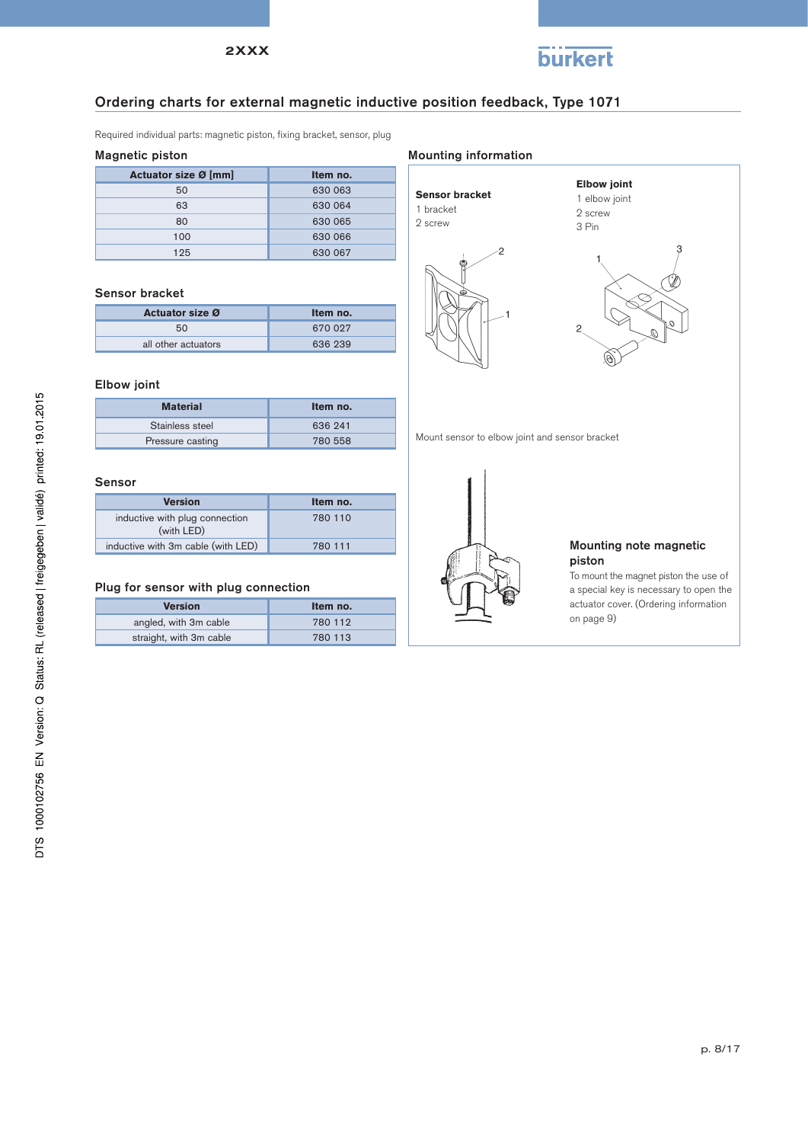

#### Ordering charts for external magnetic inductive position feedback, Type 1071

Required individual parts: magnetic piston, fixing bracket, sensor, plug

#### Magnetic piston

| Actuator size Ø [mm] | Item no. |
|----------------------|----------|
| 50                   | 630 063  |
| 63                   | 630 064  |
| 80                   | 630 065  |
| 100                  | 630 066  |
| 125                  | 630 067  |

#### Sensor bracket

| <b>Actuator size Ø</b> | Item no. |
|------------------------|----------|
| 50                     | 670 027  |
| all other actuators    | 636 239  |

#### Elbow joint

| Material         | Item no. |
|------------------|----------|
| Stainless steel  | 636 241  |
| Pressure casting | 780 558  |

#### Sensor

| <b>Version</b>                               | Item no. |
|----------------------------------------------|----------|
| inductive with plug connection<br>(with LED) | 780 110  |
| inductive with 3m cable (with LED)           | 780 111  |

#### Plug for sensor with plug connection

| <b>Version</b>          | Item no. |
|-------------------------|----------|
| angled, with 3m cable   | 780 112  |
| straight, with 3m cable | 780 113  |

#### Mounting information

ċ

| <b>Sensor bracket</b> |
|-----------------------|
| 1 bracket             |
| 2 screw               |





Mount sensor to elbow joint and sensor bracket



#### Mounting note magnetic piston

To mount the magnet piston the use of a special key is necessary to open the actuator cover. (Ordering information on page 9)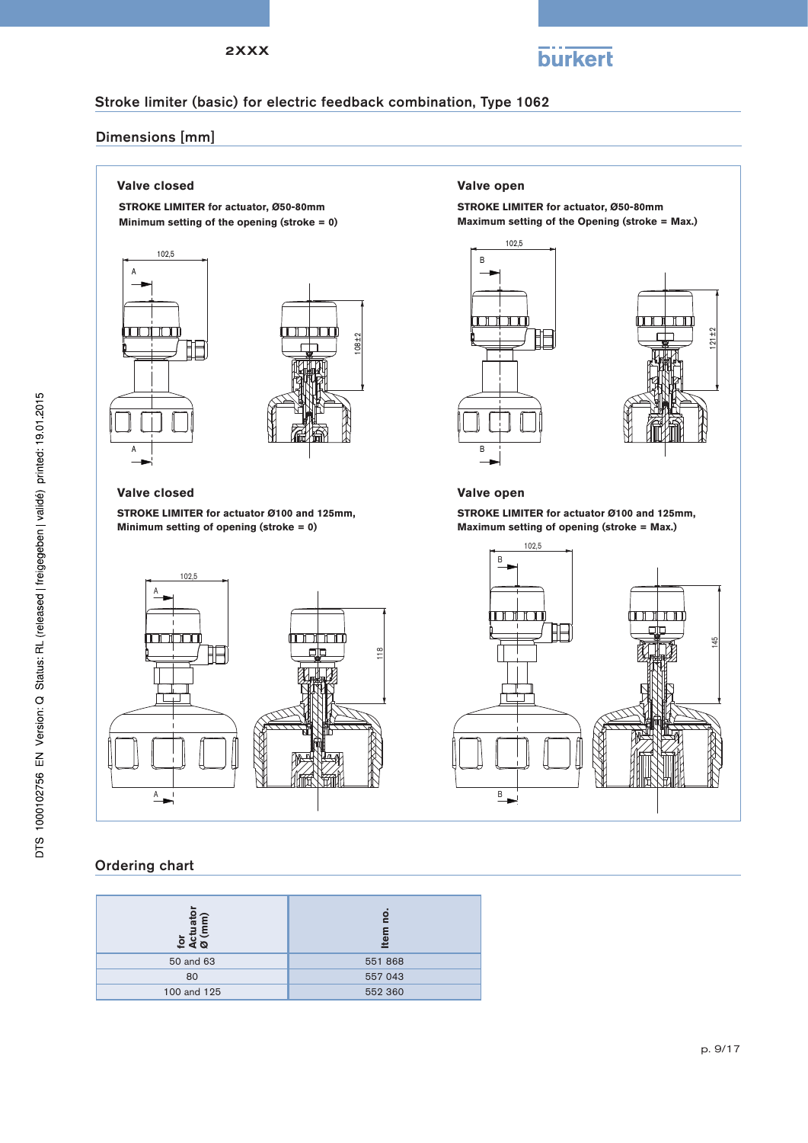

# Stroke limiter (basic) for electric feedback combination, Type 1062

### Dimensions [mm]

**STROKE LIMITER for actuator, Ø50-80mm Minimum setting of the opening (stroke = 0)**





#### **Valve closed Valve open**

**STROKE LIMITER for actuator Ø100 and 125mm, Minimum setting of opening (stroke = 0)**



#### Ordering chart

| $rac{1}{\sin \theta}$<br>$\overline{6}$<br>∢ ⊘ | О<br>$\overline{\mathbf{a}}$ |
|------------------------------------------------|------------------------------|
| 50 and 63                                      | 551 868                      |
| 80                                             | 557 043                      |
| 100 and 125                                    | 552 360                      |

#### **Valve closed Valve open**

**STROKE LIMITER for actuator, Ø50-80mm Maximum setting of the Opening (stroke = Max.)**





**STROKE LIMITER for actuator Ø100 and 125mm, Maximum setting of opening (stroke = Max.)**

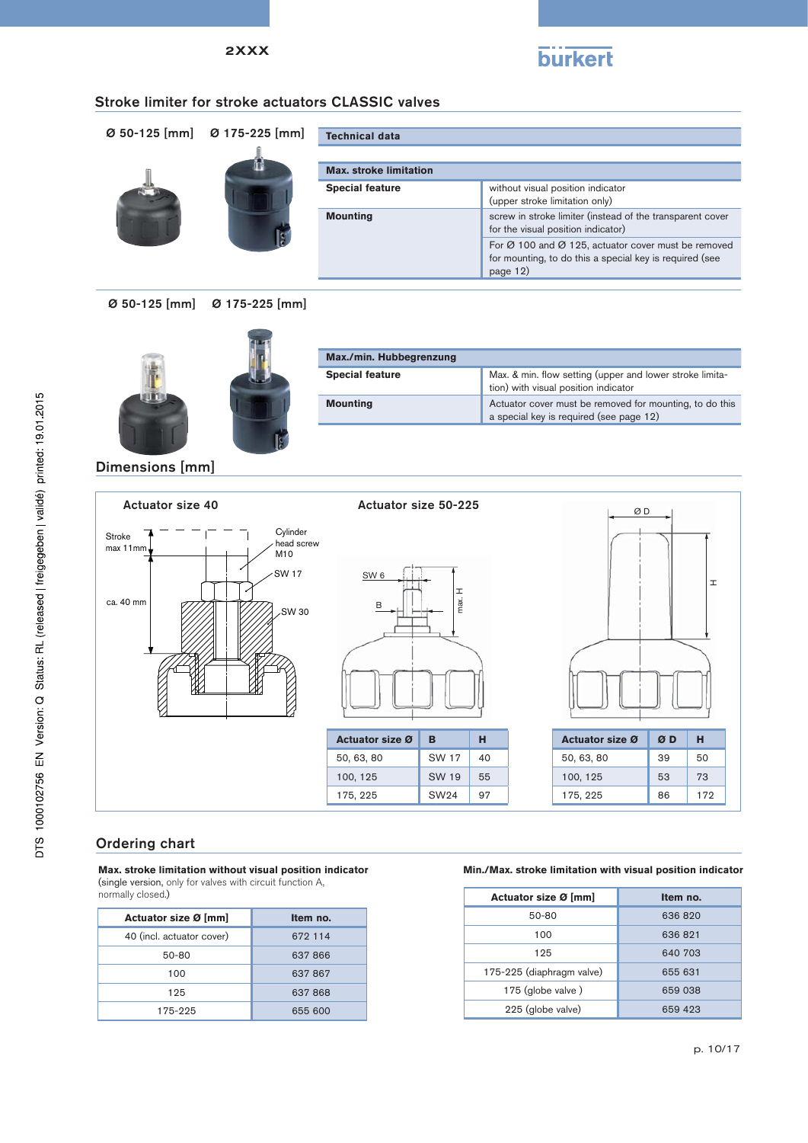

#### Stroke limiter for stroke actuators CLASSIC valves

|  | Ø 50-125 [mm] Ø 175-225 [mm] | <b>Technical data</b>         |                                                                                                                            |
|--|------------------------------|-------------------------------|----------------------------------------------------------------------------------------------------------------------------|
|  |                              | <b>Max. stroke limitation</b> |                                                                                                                            |
|  |                              | <b>Special feature</b>        | without visual position indicator<br>(upper stroke limitation only)                                                        |
|  |                              | <b>Mounting</b>               | screw in stroke limiter (instead of the transparent cover<br>for the visual position indicator)                            |
|  |                              |                               | For Ø 100 and Ø 125, actuator cover must be removed<br>for mounting, to do this a special key is required (see<br>page 12) |

#### Ø 50-125 [mm] Ø 175-225 [mm]



| Max./min. Hubbegrenzung |                                                                                                    |  |
|-------------------------|----------------------------------------------------------------------------------------------------|--|
| <b>Special feature</b>  | Max. & min. flow setting (upper and lower stroke limita-<br>tion) with visual position indicator   |  |
| <b>Mounting</b>         | Actuator cover must be removed for mounting, to do this<br>a special key is required (see page 12) |  |

#### Dimensions [mm]



#### Ordering chart

**Max. stroke limitation without visual position indicator**  (single version, only for valves with circuit function A,

normally closed.)

| Actuator size Ø [mm]      | Item no. |
|---------------------------|----------|
| 40 (incl. actuator cover) | 672 114  |
| 50-80                     | 637866   |
| 100                       | 637867   |
| 125                       | 637868   |
| 175-225                   | 655 600  |

#### **Min./Max. stroke limitation with visual position indicator**

| Actuator size Ø [mm]      | Item no. |
|---------------------------|----------|
| 50-80                     | 636 820  |
| 100                       | 636 821  |
| 125                       | 640 703  |
| 175-225 (diaphragm valve) | 655 631  |
| 175 (globe valve)         | 659 038  |
| 225 (globe valve)         | 659 423  |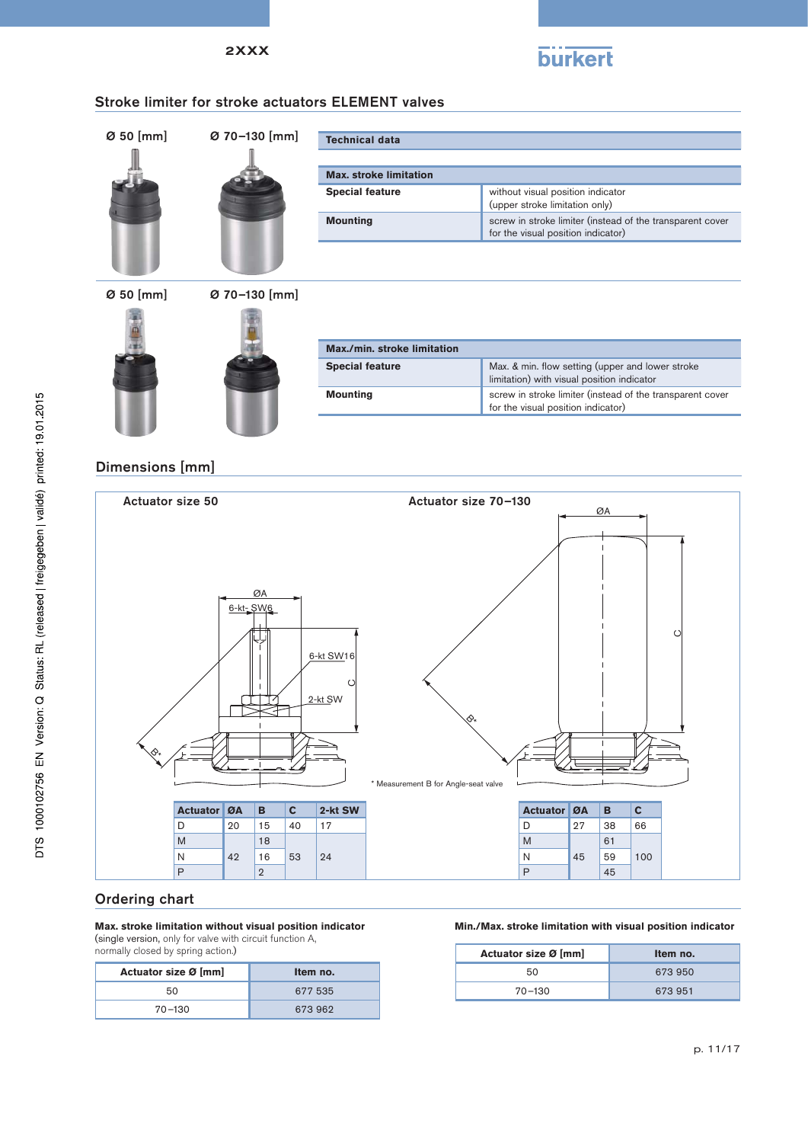

#### Stroke limiter for stroke actuators ELEMENT valves

| Ø 50 [mm]   | Ø 70-130 [mm] | <b>Technical data</b>         |                                                                                                 |  |  |  |  |  |  |
|-------------|---------------|-------------------------------|-------------------------------------------------------------------------------------------------|--|--|--|--|--|--|
|             |               | <b>Max. stroke limitation</b> |                                                                                                 |  |  |  |  |  |  |
|             |               | <b>Special feature</b>        | without visual position indicator<br>(upper stroke limitation only)                             |  |  |  |  |  |  |
|             |               | <b>Mounting</b>               | screw in stroke limiter (instead of the transparent cover<br>for the visual position indicator) |  |  |  |  |  |  |
|             |               |                               |                                                                                                 |  |  |  |  |  |  |
| $O$ 50 [mm] | Ø 70-130 [mm] |                               |                                                                                                 |  |  |  |  |  |  |



| Max./min. stroke limitation |                                                                                                 |  |  |  |  |  |  |  |  |
|-----------------------------|-------------------------------------------------------------------------------------------------|--|--|--|--|--|--|--|--|
| <b>Special feature</b>      | Max. & min. flow setting (upper and lower stroke<br>limitation) with visual position indicator  |  |  |  |  |  |  |  |  |
| <b>Mounting</b>             | screw in stroke limiter (instead of the transparent cover<br>for the visual position indicator) |  |  |  |  |  |  |  |  |

### Dimensions [mm]



# Ordering chart

#### **Max. stroke limitation without visual position indicator**

(single version, only for valve with circuit function A, normally closed by spring action.)

| Actuator size Ø [mm] | Item no. |
|----------------------|----------|
| 50                   | 677 535  |
| $70 - 130$           | 673 962  |

#### **Min./Max. stroke limitation with visual position indicator**

| Actuator size Ø [mm] | Item no. |  |  |  |  |
|----------------------|----------|--|--|--|--|
| 50                   | 673 950  |  |  |  |  |
| $70 - 130$           | 673 951  |  |  |  |  |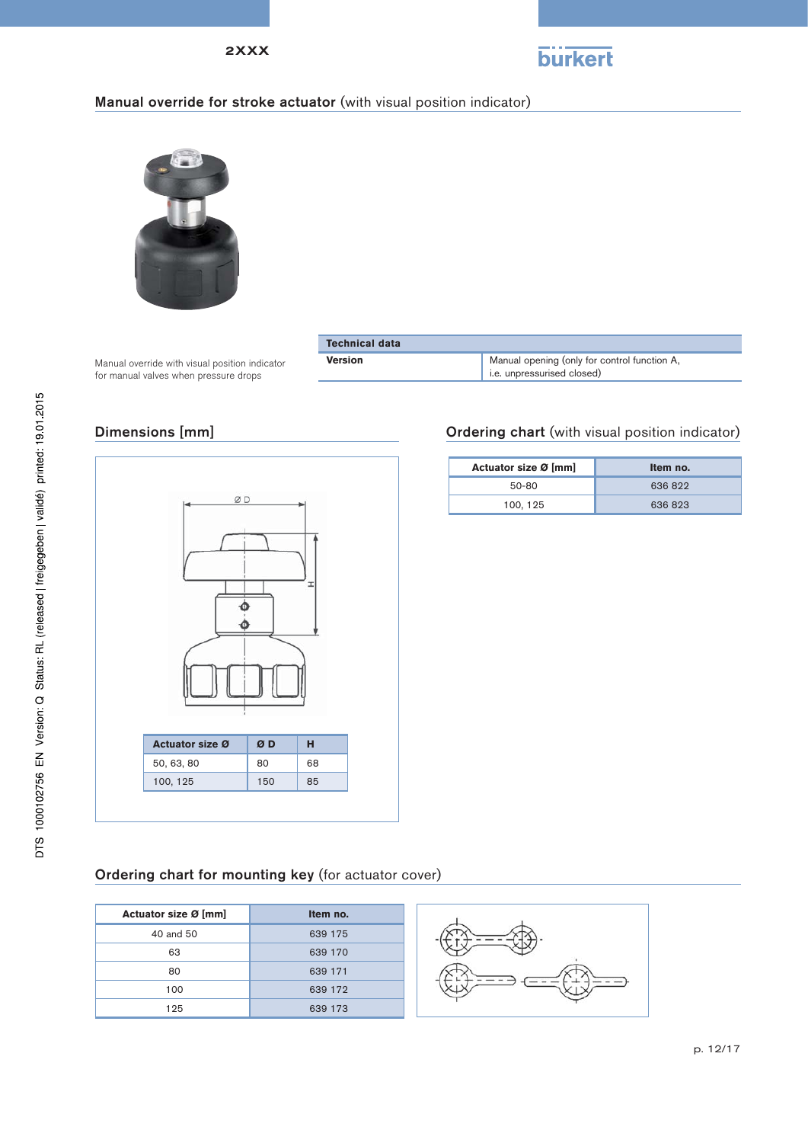

### Manual override for stroke actuator (with visual position indicator)



Manual override with visual position indicator for manual valves when pressure drops

| <b>Technical data</b> |                                                                            |
|-----------------------|----------------------------------------------------------------------------|
| <b>Version</b>        | Manual opening (only for control function A,<br>i.e. unpressurised closed) |

#### Dimensions [mm]



# Ordering chart (with visual position indicator)

| Item no. |
|----------|
| 636822   |
| 636823   |
|          |

# Ordering chart for mounting key (for actuator cover)

| Actuator size Ø [mm] | Item no. |
|----------------------|----------|
| 40 and 50            | 639 175  |
| 63                   | 639 170  |
| 80                   | 639 171  |
| 100                  | 639 172  |
| 125                  | 639 173  |

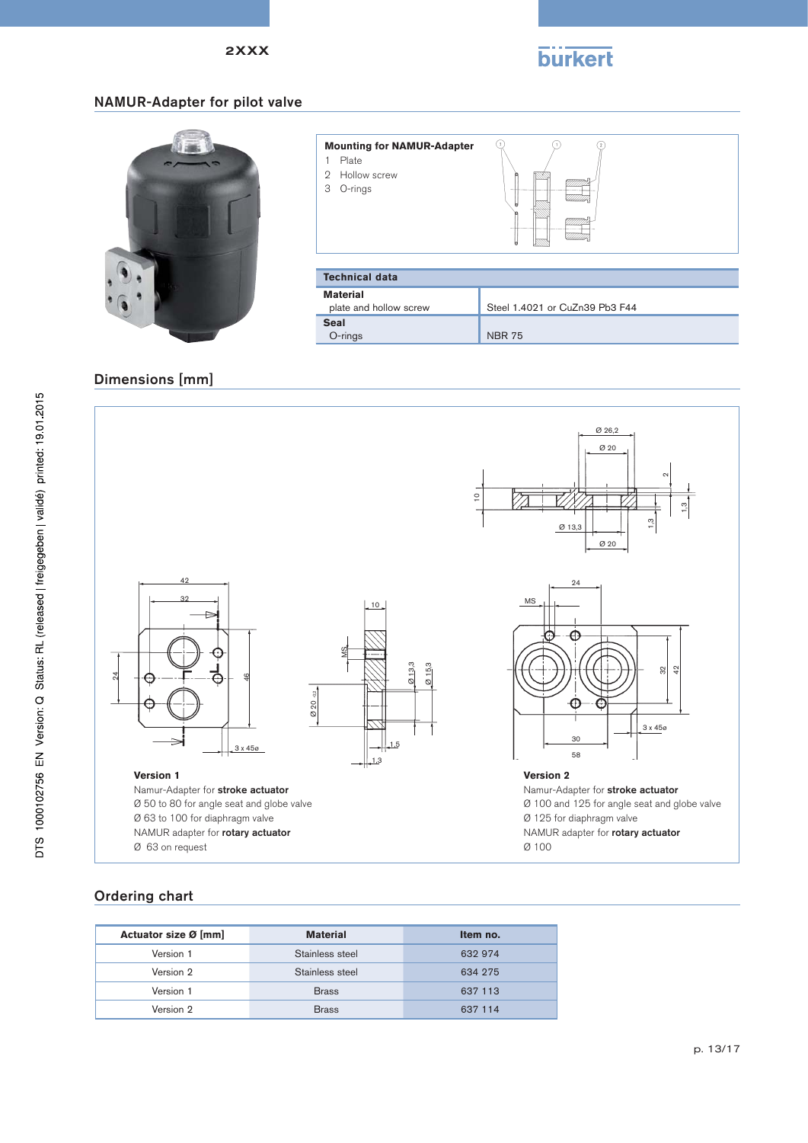

 $\overline{Q}$ 

 $\varphi$ 

### NAMUR-Adapter for pilot valve



| Plate<br>2 Hollow screw<br>O-rings<br>3 | ы                              |
|-----------------------------------------|--------------------------------|
| <b>Technical data</b>                   |                                |
| <b>Material</b>                         |                                |
| plate and hollow screw                  | Steel 1.4021 or CuZn39 Pb3 F44 |
| <b>Seal</b>                             |                                |

 $\mathbb{Q}$ 

### Dimensions [mm]



O-rings NBR 75

**Mounting for NAMUR-Adapter**

# Ordering chart

| Actuator size Ø [mm] | <b>Material</b> | Item no. |
|----------------------|-----------------|----------|
| Version 1            | Stainless steel | 632 974  |
| Version 2            | Stainless steel | 634 275  |
| Version 1            | <b>Brass</b>    | 637 113  |
| Version 2            | <b>Brass</b>    | 637 114  |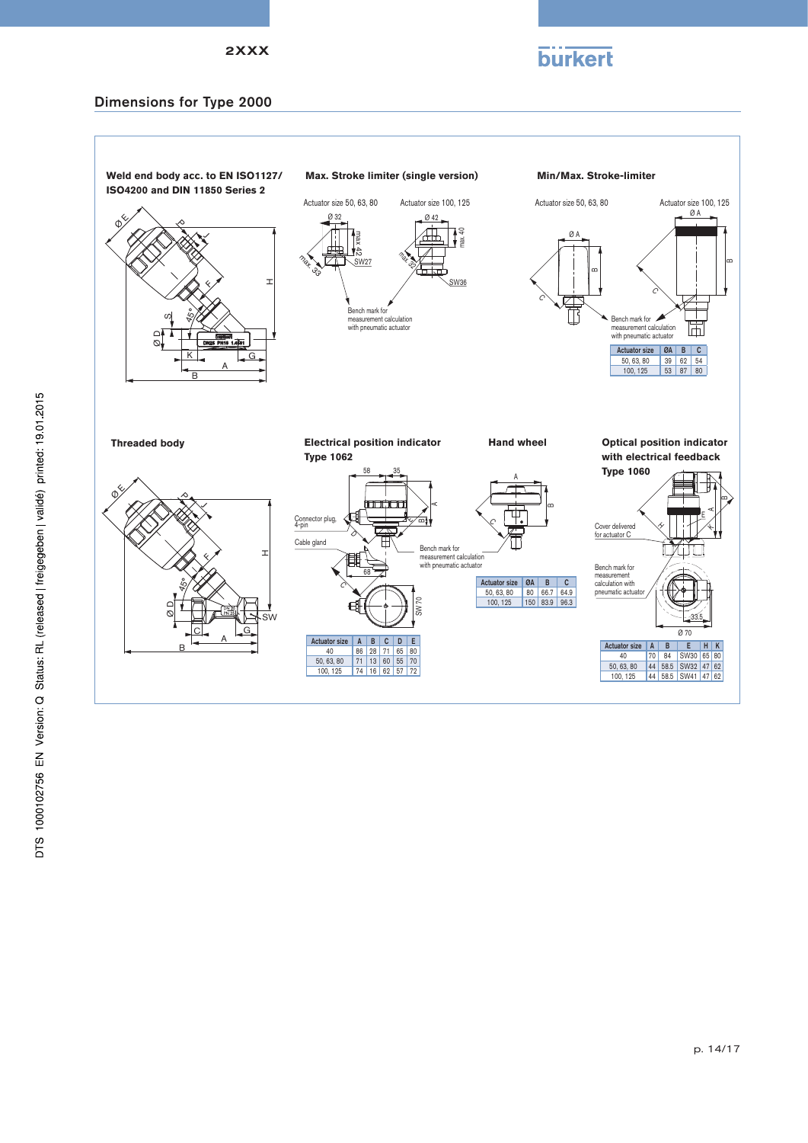



### Dimensions for Type 2000

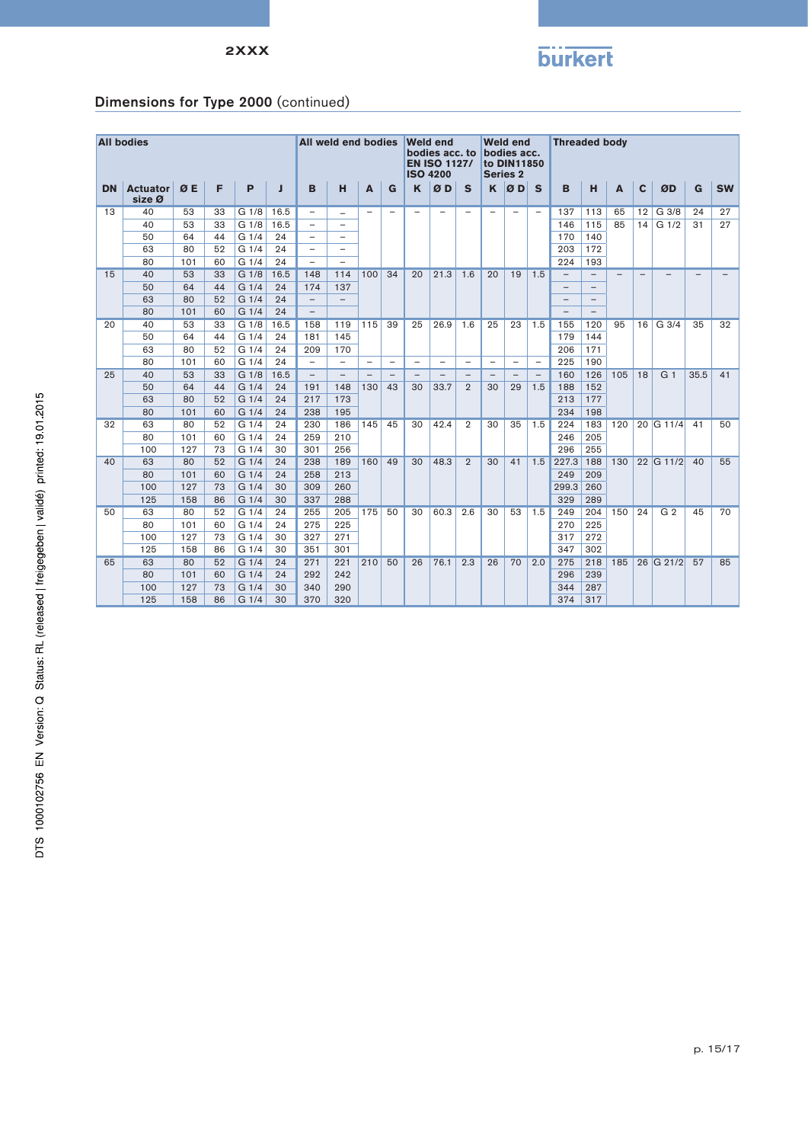

# Dimensions for Type 2000 (continued)

|           | <b>All bodies</b> |     |    |                     |      |                          |                                                                             |                          |                          |                                                                  |                          |                          |                          |                          |                          |                          |                          |     |                          |                  |                          |           |
|-----------|-------------------|-----|----|---------------------|------|--------------------------|-----------------------------------------------------------------------------|--------------------------|--------------------------|------------------------------------------------------------------|--------------------------|--------------------------|--------------------------|--------------------------|--------------------------|--------------------------|--------------------------|-----|--------------------------|------------------|--------------------------|-----------|
|           |                   |     |    | All weld end bodies |      |                          | <b>Weld end</b><br>bodies acc. to<br><b>EN ISO 1127/</b><br><b>ISO 4200</b> |                          |                          | <b>Weld end</b><br>bodies acc.<br>to DIN11850<br><b>Series 2</b> |                          |                          | <b>Threaded body</b>     |                          |                          |                          |                          |     |                          |                  |                          |           |
| <b>DN</b> | <b>Actuator</b>   | ØE  | F  | P                   | л    | B                        | н                                                                           | A                        | G                        | ĸ                                                                | ØD                       | S                        |                          | $K \nvert \mathcal{O}$ D | $\mathbf{s}$             | B                        | H                        | A   | C                        | ØD               | G                        | <b>SW</b> |
|           | size Ø            |     |    |                     |      |                          |                                                                             |                          |                          |                                                                  |                          |                          |                          |                          |                          |                          |                          |     |                          |                  |                          |           |
| 13        | 40                | 53  | 33 | G 1/8               | 16.5 | $\overline{\phantom{0}}$ |                                                                             | $\overline{\phantom{0}}$ | $\overline{\phantom{0}}$ | $\overline{\phantom{0}}$                                         | $\overline{\phantom{0}}$ | $\overline{\phantom{0}}$ | $\overline{\phantom{a}}$ | $\overline{\phantom{0}}$ | $\overline{\phantom{0}}$ | 137                      | 113                      | 65  | 12                       | G 3/8            | 24                       | 27        |
|           | 40                | 53  | 33 | G 1/8               | 16.5 |                          | $\overline{\phantom{0}}$                                                    |                          |                          |                                                                  |                          |                          |                          |                          |                          | 146                      | 115                      | 85  | 14                       | G <sub>1/2</sub> | 31                       | 27        |
|           | 50                | 64  | 44 | G <sub>1/4</sub>    | 24   |                          | $\overline{\phantom{a}}$                                                    |                          |                          |                                                                  |                          |                          |                          |                          |                          | 170                      | 140                      |     |                          |                  |                          |           |
|           | 63                | 80  | 52 | G <sub>1/4</sub>    | 24   |                          | $\overline{\phantom{a}}$                                                    |                          |                          |                                                                  |                          |                          |                          |                          |                          | 203                      | 172                      |     |                          |                  |                          |           |
|           | 80                | 101 | 60 | G <sub>1/4</sub>    | 24   | $\overline{\phantom{0}}$ | $\overline{\phantom{0}}$                                                    |                          |                          |                                                                  |                          |                          |                          |                          |                          | 224                      | 193                      |     |                          |                  |                          |           |
| 15        | 40                | 53  | 33 | G <sub>1/8</sub>    | 16.5 | 148                      | 114                                                                         | 100                      | 34                       | 20                                                               | 21.3                     | 1.6                      | 20                       | 19                       | 1.5                      | $\overline{\phantom{0}}$ | $\overline{\phantom{0}}$ |     | $\overline{\phantom{0}}$ |                  | $\overline{\phantom{0}}$ |           |
|           | 50                | 64  | 44 | G 1/4               | 24   | 174                      | 137                                                                         |                          |                          |                                                                  |                          |                          |                          |                          |                          | $\overline{\phantom{a}}$ | $\overline{\phantom{0}}$ |     |                          |                  |                          |           |
|           | 63                | 80  | 52 | G <sub>1/4</sub>    | 24   | $\qquad \qquad -$        | $\overline{\phantom{m}}$                                                    |                          |                          |                                                                  |                          |                          |                          |                          |                          | $\overline{\phantom{m}}$ | $\overline{\phantom{0}}$ |     |                          |                  |                          |           |
|           | 80                | 101 | 60 | G <sub>1/4</sub>    | 24   | $\overline{\phantom{m}}$ |                                                                             |                          |                          |                                                                  |                          |                          |                          |                          |                          | $\overline{\phantom{0}}$ |                          |     |                          |                  |                          |           |
| 20        | 40                | 53  | 33 | G <sub>1/8</sub>    | 16.5 | 158                      | 119                                                                         | 115                      | 39                       | 25                                                               | 26.9                     | 1.6                      | 25                       | 23                       | 1.5                      | 155                      | 120                      | 95  | 16                       | G <sub>3/4</sub> | 35                       | 32        |
|           | 50                | 64  | 44 | G <sub>1/4</sub>    | 24   | 181                      | 145                                                                         |                          |                          |                                                                  |                          |                          |                          |                          |                          | 179                      | 144                      |     |                          |                  |                          |           |
|           | 63                | 80  | 52 | G <sub>1/4</sub>    | 24   | 209                      | 170                                                                         |                          |                          |                                                                  |                          |                          |                          |                          |                          | 206                      | 171                      |     |                          |                  |                          |           |
|           | 80                | 101 | 60 | G <sub>1/4</sub>    | 24   | $\overline{\phantom{0}}$ |                                                                             | $\overline{\phantom{0}}$ | $\overline{\phantom{0}}$ | $\overline{\phantom{0}}$                                         | $\overline{\phantom{0}}$ | $\overline{\phantom{0}}$ | $\overline{\phantom{0}}$ | $\overline{\phantom{0}}$ | $\overline{\phantom{0}}$ | 225                      | 190                      |     |                          |                  |                          |           |
| 25        | 40                | 53  | 33 | G 1/8               | 16.5 | $\qquad \qquad -$        |                                                                             |                          | $\overline{\phantom{0}}$ |                                                                  |                          |                          |                          |                          | $\overline{\phantom{m}}$ | 160                      | 126                      | 105 | 18                       | G <sub>1</sub>   | 35.5                     | 41        |
|           | 50                | 64  | 44 | G1/4                | 24   | 191                      | 148                                                                         | 130                      | 43                       | 30                                                               | 33.7                     | $\overline{2}$           | 30                       | 29                       | 1.5                      | 188                      | 152                      |     |                          |                  |                          |           |
|           | 63                | 80  | 52 | G1/4                | 24   | 217                      | 173                                                                         |                          |                          |                                                                  |                          |                          |                          |                          |                          | 213                      | 177                      |     |                          |                  |                          |           |
|           | 80                | 101 | 60 | G1/4                | 24   | 238                      | 195                                                                         |                          |                          |                                                                  |                          |                          |                          |                          |                          | 234                      | 198                      |     |                          |                  |                          |           |
| 32        | 63                | 80  | 52 | G <sub>1/4</sub>    | 24   | 230                      | 186                                                                         | 145                      | 45                       | 30                                                               | 42.4                     | $\overline{2}$           | 30                       | 35                       | 1.5                      | 224                      | 183                      | 120 |                          | 20 G 11/4        | 41                       | 50        |
|           | 80                | 101 | 60 | G <sub>1/4</sub>    | 24   | 259                      | 210                                                                         |                          |                          |                                                                  |                          |                          |                          |                          |                          | 246                      | 205                      |     |                          |                  |                          |           |
|           | 100               | 127 | 73 | G <sub>1/4</sub>    | 30   | 301                      | 256                                                                         |                          |                          |                                                                  |                          |                          |                          |                          |                          | 296                      | 255                      |     |                          |                  |                          |           |
| 40        | 63                | 80  | 52 | G <sub>1/4</sub>    | 24   | 238                      | 189                                                                         | 160                      | 49                       | 30                                                               | 48.3                     | $\overline{2}$           | 30                       | 41                       | 1.5                      | 227.3                    | 188                      | 130 |                          | 22 G 11/2        | 40                       | 55        |
|           | 80                | 101 | 60 | G <sub>1/4</sub>    | 24   | 258                      | 213                                                                         |                          |                          |                                                                  |                          |                          |                          |                          |                          | 249                      | 209                      |     |                          |                  |                          |           |
|           | 100               | 127 | 73 | G1/4                | 30   | 309                      | 260                                                                         |                          |                          |                                                                  |                          |                          |                          |                          |                          | 299.3                    | 260                      |     |                          |                  |                          |           |
|           | 125               | 158 | 86 | G <sub>1/4</sub>    | 30   | 337                      | 288                                                                         |                          |                          |                                                                  |                          |                          |                          |                          |                          | 329                      | 289                      |     |                          |                  |                          |           |
| 50        | 63                | 80  | 52 | G <sub>1/4</sub>    | 24   | 255                      | 205                                                                         | 175                      | 50                       | 30                                                               | 60.3                     | 2.6                      | 30                       | 53                       | 1.5                      | 249                      | 204                      | 150 | 24                       | G <sub>2</sub>   | 45                       | 70        |
|           | 80                | 101 | 60 | G <sub>1/4</sub>    | 24   | 275                      | 225                                                                         |                          |                          |                                                                  |                          |                          |                          |                          |                          | 270                      | 225                      |     |                          |                  |                          |           |
|           | 100               | 127 | 73 | G <sub>1/4</sub>    | 30   | 327                      | 271                                                                         |                          |                          |                                                                  |                          |                          |                          |                          |                          | 317                      | 272                      |     |                          |                  |                          |           |
|           | 125               | 158 | 86 | G 1/4               | 30   | 351                      | 301                                                                         |                          |                          |                                                                  |                          |                          |                          |                          |                          | 347                      | 302                      |     |                          |                  |                          |           |
| 65        | 63                | 80  | 52 | G <sub>1/4</sub>    | 24   | 271                      | 221                                                                         | 210                      | 50                       | 26                                                               | 76.1                     | 2.3                      | 26                       | 70                       | 2.0                      | 275                      | 218                      | 185 |                          | 26 G 21/2        | 57                       | 85        |
|           | 80                | 101 | 60 | G <sub>1/4</sub>    | 24   | 292                      | 242                                                                         |                          |                          |                                                                  |                          |                          |                          |                          |                          | 296                      | 239                      |     |                          |                  |                          |           |
|           | 100               | 127 | 73 | G 1/4               | 30   | 340                      | 290                                                                         |                          |                          |                                                                  |                          |                          |                          |                          |                          | 344                      | 287                      |     |                          |                  |                          |           |
|           | 125               | 158 | 86 | G 1/4               | 30   | 370                      | 320                                                                         |                          |                          |                                                                  |                          |                          |                          |                          |                          | 374                      | 317                      |     |                          |                  |                          |           |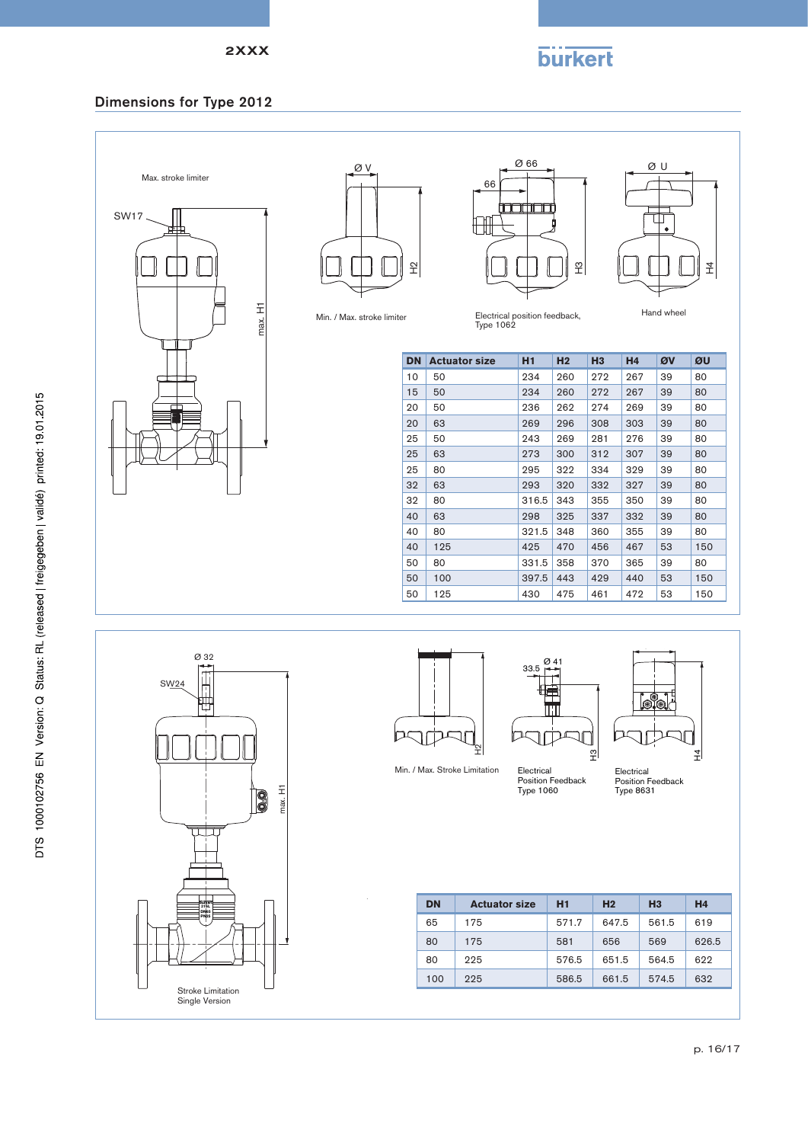# **burkert**

# Dimensions for Type 2012





Ø 66 66 **FIFTH T**  $\mathbb{H}$  $\tilde{\mathbb{F}}$ 



Min. / Max. stroke limiter

Electrical position feedback, Type 1062

| <b>DN</b> | <b>Actuator size</b> | H1                | H <sub>2</sub> | H <sub>3</sub> | H <sub>4</sub> | ØV | ØU  |
|-----------|----------------------|-------------------|----------------|----------------|----------------|----|-----|
| 10        | 50                   | 234               | 260            | 272            | 267            | 39 | 80  |
| 15        | 50                   | 234               | 260            | 272            | 267            | 39 | 80  |
| 20        | 50                   | 236               | 262            | 274            | 269            | 39 | 80  |
| 20        | 63                   | 269               | 296            | 308            | 303            | 39 | 80  |
| 25        | 50                   | 243               | 269            | 281            | 276            | 39 | 80  |
| 25        | 63                   | 273               | 300            | 312            | 307            | 39 | 80  |
| 25        | 80                   | 295<br>322<br>334 |                | 329            | 39             | 80 |     |
| 32        | 63                   | 293               | 320            | 332            | 327            | 39 | 80  |
| 32        | 80                   | 316.5             | 343            | 355            | 350            | 39 | 80  |
| 40        | 63                   | 298               | 325            | 337            | 332            | 39 | 80  |
| 40        | 80                   | 321.5             | 348            | 360            | 355            | 39 | 80  |
| 40        | 125                  | 425               | 470            | 456            | 467            | 53 | 150 |
| 50        | 80                   | 331.5             | 358            | 370            | 365            | 39 | 80  |
| 50        | 100                  | 397.5             | 443            | 429            | 440            | 53 | 150 |
| 50        | 125                  | 430               | 475            | 461            | 472            | 53 | 150 |







Electrical Position Feedback Type 1060 윈

70

33.5

IC

Ø 41

T

 $\Box$  $\vert \vec{A} \vert$ 

Electrical Position Feedback Type 8631

| <b>DN</b> | <b>Actuator size</b> | H1    | H <sub>2</sub> | H <sub>3</sub> | H <sub>4</sub> |
|-----------|----------------------|-------|----------------|----------------|----------------|
| 65        | 175                  | 571.7 | 647.5          | 561.5          | 619            |
| 80        | 175                  | 581   | 656            | 569            | 626.5          |
| 80        | 225                  | 576.5 | 651.5          | 564.5          | 622            |
| 100       | 225                  | 586.5 | 661.5          | 574.5          | 632            |